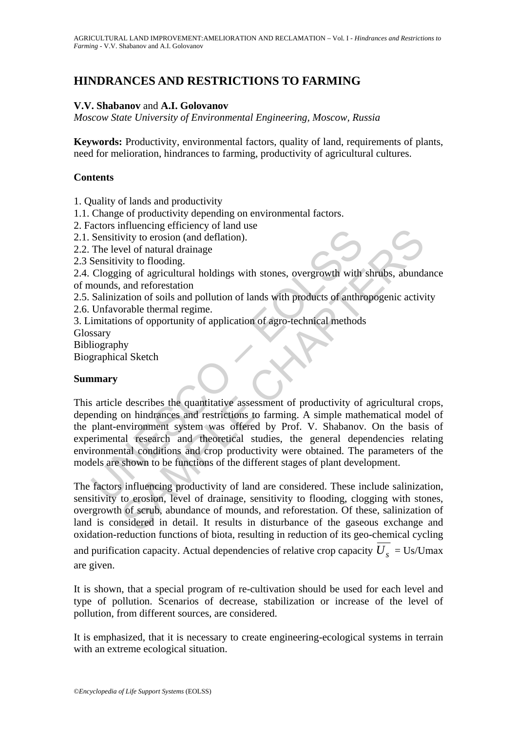# **HINDRANCES AND RESTRICTIONS TO FARMING**

## **V.V. Shabanov** and **A.I. Golovanov**

*Moscow State University of Environmental Engineering, Moscow, Russia* 

**Keywords:** Productivity, environmental factors, quality of land, requirements of plants, need for melioration, hindrances to farming, productivity of agricultural cultures.

### **Contents**

1. Quality of lands and productivity

1.1. Change of productivity depending on environmental factors.

2. Factors influencing efficiency of land use

2.1. Sensitivity to erosion (and deflation).

2.2. The level of natural drainage

2.3 Sensitivity to flooding.

2.4. Clogging of agricultural holdings with stones, overgrowth with shrubs, abundance of mounds, and reforestation

2.5. Salinization of soils and pollution of lands with products of anthropogenic activity

2.6. Unfavorable thermal regime.

3. Limitations of opportunity of application of agro-technical methods

Glossary

Bibliography

Biographical Sketch

## **Summary**

Sensitivity to erosion (and deflation).<br>
Sensitivity to erosion (and deflation).<br>
The level of natural drainage<br>
Sensitivity to flooding.<br>
Clogging of agricultural holdings with stones, overgrowth with<br>
nounds, and refores much engine through the state and the state of the state of the state of the state of the state of the state of the state and reforestation of soils and pollution of lands with products of anthropogenic activity to and ref This article describes the quantitative assessment of productivity of agricultural crops, depending on hindrances and restrictions to farming. A simple mathematical model of the plant-environment system was offered by Prof. V. Shabanov. On the basis of experimental research and theoretical studies, the general dependencies relating environmental conditions and crop productivity were obtained. The parameters of the models are shown to be functions of the different stages of plant development.

The factors influencing productivity of land are considered. These include salinization, sensitivity to erosion, level of drainage, sensitivity to flooding, clogging with stones, overgrowth of scrub, abundance of mounds, and reforestation. Of these, salinization of land is considered in detail. It results in disturbance of the gaseous exchange and oxidation-reduction functions of biota, resulting in reduction of its geo-chemical cycling and purification capacity. Actual dependencies of relative crop capacity  $\overline{U_s}$  = Us/Umax are given.

It is shown, that a special program of re-cultivation should be used for each level and type of pollution. Scenarios of decrease, stabilization or increase of the level of pollution, from different sources, are considered.

It is emphasized, that it is necessary to create engineering-ecological systems in terrain with an extreme ecological situation.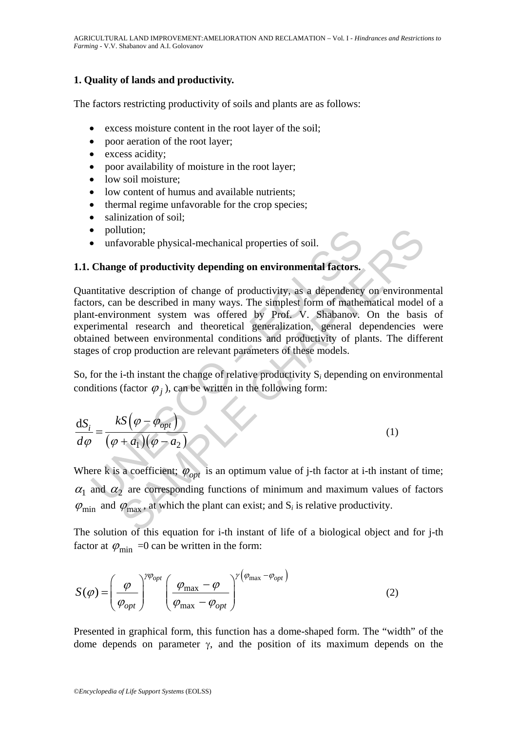## **1. Quality of lands and productivity.**

The factors restricting productivity of soils and plants are as follows:

- excess moisture content in the root layer of the soil;
- poor aeration of the root layer;
- excess acidity;
- poor availability of moisture in the root layer;
- low soil moisture:
- low content of humus and available nutrients;
- thermal regime unfavorable for the crop species;
- salinization of soil;
- pollution;
- unfavorable physical-mechanical properties of soil.

## **1.1. Change of productivity depending on environmental factors.**

• pollution;<br>
• unfavorable physical-mechanical properties of soil.<br> **Change of productivity depending on environmental factors.**<br>
mititative description of change of productivity, as a dependency<br>
ors, can be described i dution;<br>
avorable physical-mechanical properties of soil.<br>
ge of productivity depending on environmental factors.<br>
e description of change of productivity, as a dependency on environment<br>
be described in many ways. The si Quantitative description of change of productivity, as a dependency on environmental factors, can be described in many ways. The simplest form of mathematical model of a plant-environment system was offered by Prof. V. Shabanov. On the basis of experimental research and theoretical generalization, general dependencies were obtained between environmental conditions and productivity of plants. The different stages of crop production are relevant parameters of these models.

So, for the i-th instant the change of relative productivity S*i* depending on environmental conditions (factor  $\varphi_i$ ), can be written in the following form:

$$
\frac{\mathrm{d}S_i}{d\varphi} = \frac{kS(\varphi - \varphi_{opt})}{(\varphi + a_1)(\varphi - a_2)}
$$
(1)

Where k is a coefficient;  $\varphi_{opt}$  is an optimum value of j-th factor at i-th instant of time;  $\alpha_1$  and  $\alpha_2$  are corresponding functions of minimum and maximum values of factors  $\varphi_{\text{min}}$  and  $\varphi_{\text{max}}$ , at which the plant can exist; and S<sub>*i*</sub> is relative productivity.

The solution of this equation for i-th instant of life of a biological object and for j-th factor at  $\varphi_{\min} = 0$  can be written in the form:

$$
S(\varphi) = \left(\frac{\varphi}{\varphi_{opt}}\right)^{\gamma\varphi_{opt}} \left(\frac{\varphi_{\text{max}} - \varphi}{\varphi_{\text{max}} - \varphi_{opt}}\right)^{\gamma\left(\varphi_{\text{max}} - \varphi_{opt}\right)}
$$
(2)

Presented in graphical form, this function has a dome-shaped form. The "width" of the dome depends on parameter  $\gamma$ , and the position of its maximum depends on the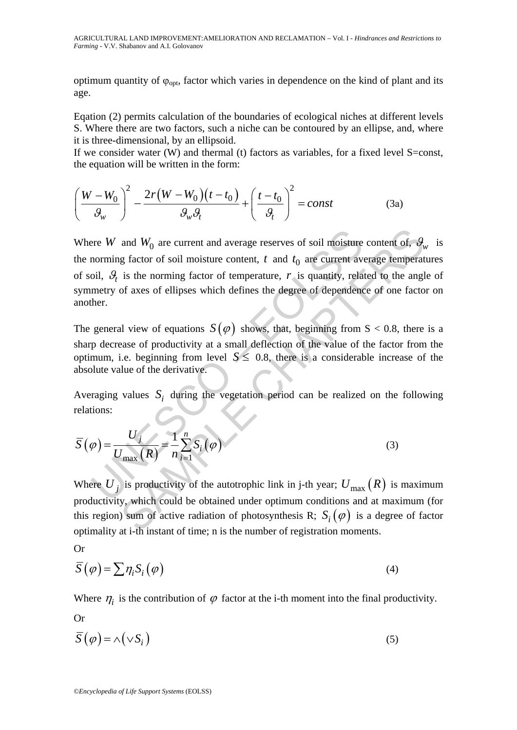optimum quantity of  $\varphi_{opt}$ , factor which varies in dependence on the kind of plant and its age.

Eqation (2) permits calculation of the boundaries of ecological niches at different levels S. Where there are two factors, such a niche can be contoured by an ellipse, and, where it is three-dimensional, by an ellipsoid.

If we consider water (W) and thermal (t) factors as variables, for a fixed level S=const, the equation will be written in the form:

$$
\left(\frac{W-W_0}{\theta_w}\right)^2 - \frac{2r(W-W_0)(t-t_0)}{\theta_w \theta_t} + \left(\frac{t-t_0}{\theta_t}\right)^2 = const
$$
 (3a)

ere W and  $W_0$  are current and average reserves of soil moisture<br>norming factor of soil moisture content, t and  $t_0$  are current av<br>oil,  $\mathcal{G}_i$  is the norming factor of temperature, r is quantity, rela<br>metry of axes and  $W_0$  are current and average reserves of soil moisture content of,  $\theta$ , g factor of soil moisture content, t and  $t_0$  are current average temperat<br>is the norming factor of temperature, r is quantity, related to the Where *W* and  $W_0$  are current and average reserves of soil moisture content of,  $\mathcal{G}_w$  is the norming factor of soil moisture content,  $t$  and  $t_0$  are current average temperatures of soil,  $\mathcal{G}_t$  is the norming factor of temperature,  $r$  is quantity, related to the angle of symmetry of axes of ellipses which defines the degree of dependence of one factor on another.

The general view of equations  $S(\varphi)$  shows, that, beginning from  $S < 0.8$ , there is a sharp decrease of productivity at a small deflection of the value of the factor from the optimum, i.e. beginning from level  $S \le 0.8$ , there is a considerable increase of the absolute value of the derivative.

Averaging values  $S_i$  during the vegetation period can be realized on the following relations:

$$
\overline{S}(\varphi) = \frac{U_j}{U_{\text{max}}(R)} = \frac{1}{n} \sum_{i=1}^n S_i(\varphi)
$$
\n(3)

Where  $U_i$  is productivity of the autotrophic link in j-th year;  $U_{\text{max}}(R)$  is maximum productivity, which could be obtained under optimum conditions and at maximum (for this region) sum of active radiation of photosynthesis R;  $S_i(\varphi)$  is a degree of factor optimality at i-th instant of time; n is the number of registration moments.

Or

Or

$$
\overline{S}(\varphi) = \sum \eta_i S_i(\varphi) \tag{4}
$$

Where  $\eta_i$  is the contribution of  $\varphi$  factor at the i-th moment into the final productivity.

$$
\overline{S}(\varphi) = \wedge (\vee S_i) \tag{5}
$$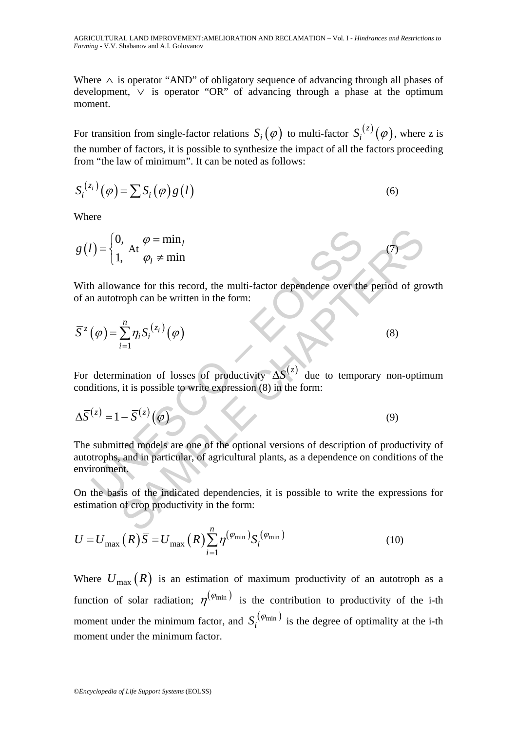Where ∧ is operator "AND" of obligatory sequence of advancing through all phases of development, ∨ is operator "OR" of advancing through a phase at the optimum moment.

For transition from single-factor relations  $S_i(\varphi)$  to multi-factor  $S_i^{(z)}(\varphi)$ , where z is the number of factors, it is possible to synthesize the impact of all the factors proceeding from "the law of minimum". It can be noted as follows:

$$
S_i^{(z_i)}(\varphi) = \sum S_i(\varphi) g(l)
$$
\n(6)

Where

$$
g(l) = \begin{cases} 0, & \text{if } \varphi = \min_l \\ 1, & \text{if } \varphi_l \neq \min_l \end{cases}
$$

With allowance for this record, the multi-factor dependence over the period of growth of an autotroph can be written in the form:

(7)

$$
\overline{S}^{z}(\varphi) = \sum_{i=1}^{n} \eta_{i} S_{i}^{(z_{i})}(\varphi)
$$
\n(8)

For determination of losses of productivity  $\Delta S^{(z)}$  due to temporary non-optimum conditions, it is possible to write expression (8) in the form:

$$
\Delta \overline{S}^{(z)} = 1 - \overline{S}^{(z)}(\varphi) \tag{9}
$$

 $U = \begin{cases} 0, & \text{if } \varphi = \min_l \\ 1, & \text{if } \varphi_l \neq \min_l \end{cases}$ <br>
h allowance for this record, the multi-factor dependence over the nautotroph can be written in the form:<br>  $(\varphi) = \sum_{i=1}^n \eta_i S_i^{(z_i)}(\varphi)$ <br>
determination of losses of prod 3.<br>
At  $\varphi = \min_l$ <br>  $\varphi_l \neq \min$ <br>
ance for this record, the multi-factor dependence over the period of growth can be written in the form:<br>  $\sum_{i=1}^{n} \eta_i S_i^{(z_i)}(\varphi)$ <br>
(8)<br>
anination of losses of productivity  $\Delta S^{(z)}$  due to The submitted models are one of the optional versions of description of productivity of autotrophs, and in particular, of agricultural plants, as a dependence on conditions of the environment.

On the basis of the indicated dependencies, it is possible to write the expressions for estimation of crop productivity in the form:

$$
U = U_{\text{max}}(R)\overline{S} = U_{\text{max}}(R)\sum_{i=1}^{n} \eta^{(\varphi_{\text{min}})} S_i^{(\varphi_{\text{min}})}
$$
(10)

Where  $U_{\text{max}}(R)$  is an estimation of maximum productivity of an autotroph as a function of solar radiation;  $\eta^{(\varphi_{\min})}$  is the contribution to productivity of the i-th moment under the minimum factor, and  $S_i^{(\varphi_{min})}$  is the degree of optimality at the i-th moment under the minimum factor.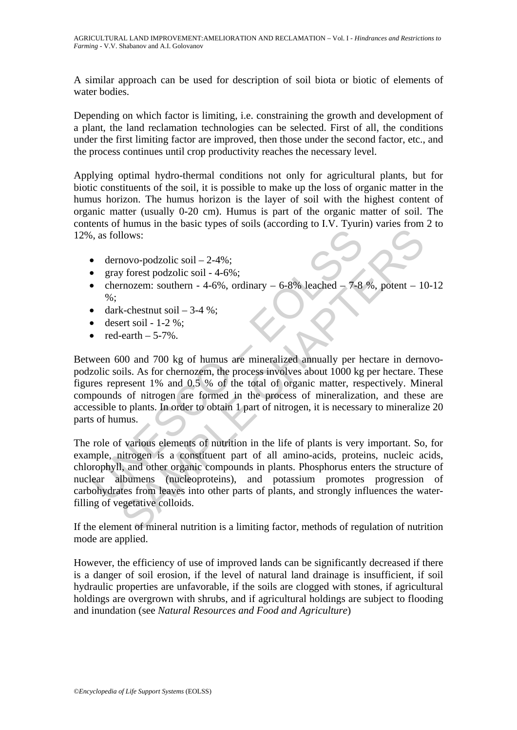A similar approach can be used for description of soil biota or biotic of elements of water bodies.

Depending on which factor is limiting, i.e. constraining the growth and development of a plant, the land reclamation technologies can be selected. First of all, the conditions under the first limiting factor are improved, then those under the second factor, etc., and the process continues until crop productivity reaches the necessary level.

Applying optimal hydro-thermal conditions not only for agricultural plants, but for biotic constituents of the soil, it is possible to make up the loss of organic matter in the humus horizon. The humus horizon is the layer of soil with the highest content of organic matter (usually 0-20 cm). Humus is part of the organic matter of soil. The contents of humus in the basic types of soils (according to I.V. Tyurin) varies from 2 to 12%, as follows:

- dernovo-podzolic soil  $-2-4\%$ ;
- gray forest podzolic soil 4-6%;
- chernozem: southern 4-6%, ordinary  $-6-8\%$  leached  $-7-8\%$ , potent  $-10-12$  $%$ :
- dark-chestnut soil  $-3-4$  %:
- desert soil  $1-2\%$ ;
- red-earth  $-5-7\%$ .

9. as follows:<br>
• dernovo-podzolic soil – 2-4%;<br>
• gray forest podzolic soil – 4-6%;<br>
• characterization: southern - 4-6%, ordinary – 6-8% leached – 7-8<br>
• dark-chestnut soil – 3-4 %;<br>
• dark-chestnut soil – 3-4 %;<br>
• des Between 600 and 700 kg of humus are mineralized annually per hectare in dernovopodzolic soils. As for chernozem, the process involves about 1000 kg per hectare. These figures represent 1% and 0.5 % of the total of organic matter, respectively. Mineral compounds of nitrogen are formed in the process of mineralization, and these are accessible to plants. In order to obtain 1 part of nitrogen, it is necessary to mineralize 20 parts of humus.

Moves:<br>
Moves:<br>
Shows:<br>
Shows:<br>
Shows: product soil  $-2-4\%$ ;<br>
Shows:<br>
Shows: production  $-4-6\%$ ;<br>
Shows: external soil  $-3-4\%$ ;<br>
Frequences: movement  $-6-8\%$  leached  $-7-8\%$ , potent  $-11$ <br>
k-chestnut soil  $-3-4\%$ ;<br> The role of various elements of nutrition in the life of plants is very important. So, for example, nitrogen is a constituent part of all amino-acids, proteins, nucleic acids, chlorophyll, and other organic compounds in plants. Phosphorus enters the structure of nuclear albumens (nucleoproteins), and potassium promotes progression of carbohydrates from leaves into other parts of plants, and strongly influences the waterfilling of vegetative colloids.

If the element of mineral nutrition is a limiting factor, methods of regulation of nutrition mode are applied.

However, the efficiency of use of improved lands can be significantly decreased if there is a danger of soil erosion, if the level of natural land drainage is insufficient, if soil hydraulic properties are unfavorable, if the soils are clogged with stones, if agricultural holdings are overgrown with shrubs, and if agricultural holdings are subject to flooding and inundation (see *Natural Resources and Food and Agriculture*)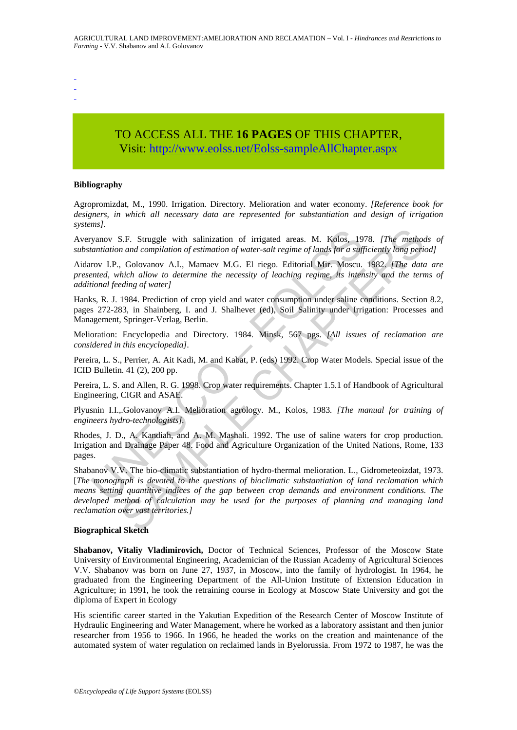- -

-

# TO ACCESS ALL THE **16 PAGES** OF THIS CHAPTER, Visit[: http://www.eolss.net/Eolss-sampleAllChapter.aspx](https://www.eolss.net/ebooklib/sc_cart.aspx?File=E5-09-01-01)

### **Bibliography**

Agropromizdat, M., 1990. Irrigation. Directory. Melioration and water economy. *[Reference book for designers, in which all necessary data are represented for substantiation and design of irrigation systems].* 

Averyanov S.F. Struggle with salinization of irrigated areas. M. Kolos, 1978. *[The methods of substantiation and compilation of estimation of water-salt regime of lands for a sufficiently long period]* 

Aidarov I.P., Golovanov A.I., Mamaev M.G. El riego. Editorial Mir. Moscu. 1982. *[The data are presented, which allow to determine the necessity of leaching regime, its intensity and the terms of additional feeding of water]* 

Hanks, R. J. 1984. Prediction of crop yield and water consumption under saline conditions. Section 8.2, pages 272-283, in Shainberg, I. and J. Shalhevet (ed), Soil Salinity under Irrigation: Processes and Management, Springer-Verlag, Berlin.

Melioration: Encyclopedia and Directory. 1984. Minsk, 567 pgs. *[All issues of reclamation are considered in this encyclopedia].* 

Pereira, L. S., Perrier, A. Ait Kadi, M. and Kabat, P. (eds) 1992. Crop Water Models. Special issue of the ICID Bulletin. 41 (2), 200 pp.

Pereira, L. S. and Allen, R. G. 1998. Crop water requirements. Chapter 1.5.1 of Handbook of Agricultural Engineering, CIGR and ASAE.

Plyusnin I.I.,.Golovanov A.I. Melioration agrology. M., Kolos, 1983*. [The manual for training of engineers hydro-technologists].* 

Rhodes, J. D., A. Kandiah, and A. M. Mashali. 1992. The use of saline waters for crop production. Irrigation and Drainage Paper 48. Food and Agriculture Organization of the United Nations, Rome, 133 pages.

yanov S.F. Struggle with salinization of irrigated areas. M. Kolos, 19<br>
yanov S.F. Struggle with salinization of water-salt regime of lands for a suff<br>
rov I.P., Golovanov A.I., Mamaev M.G. El riego. Editorial Mir. Moscu.<br> S.F. Struggle with salinization of irrigated areas. M. Kolos, 1978. [The method and compilation of estimation of water-salt regime of lands for a sufficiently long perior. Golovanov A.I., Mamaev M.G. El riego. Editorial Mi Shabanov V.V. The bio-climatic substantiation of hydro-thermal melioration. L., Gidrometeoizdat, 1973. [*The monograph is devoted to the questions of bioclimatic substantiation of land reclamation which means setting quantitive indices of the gap between crop demands and environment conditions. The developed method of calculation may be used for the purposes of planning and managing land reclamation over vast territories.]* 

### **Biographical Sketch**

**Shabanov, Vitaliy Vladimirovich,** Doctor of Technical Sciences, Professor of the Moscow State University of Environmental Engineering, Academician of the Russian Academy of Agricultural Sciences V.V. Shabanov was born on June 27, 1937, in Moscow, into the family of hydrologist. In 1964, he graduated from the Engineering Department of the All-Union Institute of Extension Education in Agriculture; in 1991, he took the retraining course in Ecology at Moscow State University and got the diploma of Expert in Ecology

His scientific career started in the Yakutian Expedition of the Research Center of Moscow Institute of Hydraulic Engineering and Water Management, where he worked as a laboratory assistant and then junior researcher from 1956 to 1966. In 1966, he headed the works on the creation and maintenance of the automated system of water regulation on reclaimed lands in Byelorussia. From 1972 to 1987, he was the